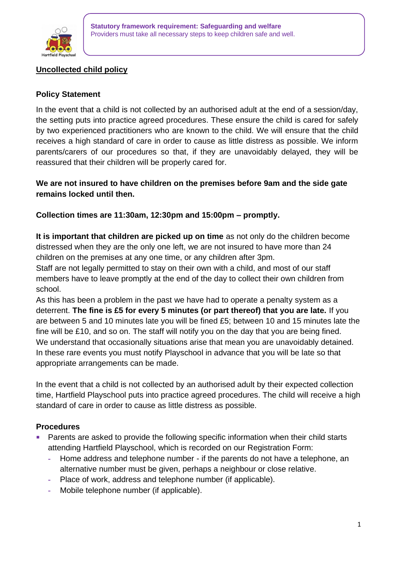

# **Uncollected child policy**

### **Policy Statement**

In the event that a child is not collected by an authorised adult at the end of a session/day, the setting puts into practice agreed procedures. These ensure the child is cared for safely by two experienced practitioners who are known to the child. We will ensure that the child receives a high standard of care in order to cause as little distress as possible. We inform parents/carers of our procedures so that, if they are unavoidably delayed, they will be reassured that their children will be properly cared for.

## **We are not insured to have children on the premises before 9am and the side gate remains locked until then.**

## **Collection times are 11:30am, 12:30pm and 15:00pm – promptly.**

**It is important that children are picked up on time** as not only do the children become distressed when they are the only one left, we are not insured to have more than 24 children on the premises at any one time, or any children after 3pm.

Staff are not legally permitted to stay on their own with a child, and most of our staff members have to leave promptly at the end of the day to collect their own children from school.

As this has been a problem in the past we have had to operate a penalty system as a deterrent. **The fine is £5 for every 5 minutes (or part thereof) that you are late.** If you are between 5 and 10 minutes late you will be fined £5; between 10 and 15 minutes late the fine will be £10, and so on. The staff will notify you on the day that you are being fined. We understand that occasionally situations arise that mean you are unavoidably detained. In these rare events you must notify Playschool in advance that you will be late so that appropriate arrangements can be made.

In the event that a child is not collected by an authorised adult by their expected collection time, Hartfield Playschool puts into practice agreed procedures. The child will receive a high standard of care in order to cause as little distress as possible.

#### **Procedures**

- Parents are asked to provide the following specific information when their child starts attending Hartfield Playschool, which is recorded on our Registration Form:
	- **-** Home address and telephone number if the parents do not have a telephone, an alternative number must be given, perhaps a neighbour or close relative.
	- **-** Place of work, address and telephone number (if applicable).
	- **-** Mobile telephone number (if applicable).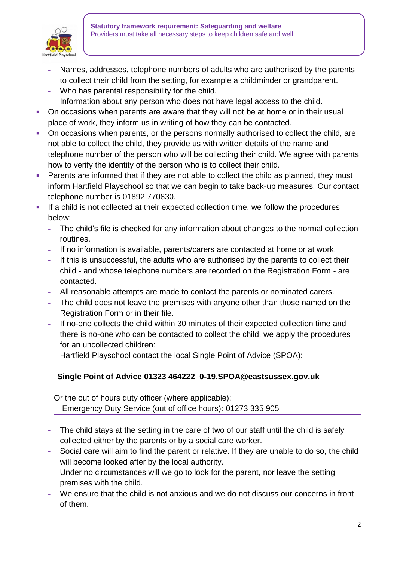

- **-** Names, addresses, telephone numbers of adults who are authorised by the parents to collect their child from the setting, for example a childminder or grandparent.
- **-** Who has parental responsibility for the child.
- **-** Information about any person who does not have legal access to the child.
- On occasions when parents are aware that they will not be at home or in their usual place of work, they inform us in writing of how they can be contacted.
- On occasions when parents, or the persons normally authorised to collect the child, are not able to collect the child, they provide us with written details of the name and telephone number of the person who will be collecting their child. We agree with parents how to verify the identity of the person who is to collect their child.
- Parents are informed that if they are not able to collect the child as planned, they must inform Hartfield Playschool so that we can begin to take back-up measures. Our contact telephone number is 01892 770830.
- **■** If a child is not collected at their expected collection time, we follow the procedures below:
	- **-** The child's file is checked for any information about changes to the normal collection routines.
	- **-** If no information is available, parents/carers are contacted at home or at work.
	- **-** If this is unsuccessful, the adults who are authorised by the parents to collect their child - and whose telephone numbers are recorded on the Registration Form - are contacted.
	- **-** All reasonable attempts are made to contact the parents or nominated carers.
	- **-** The child does not leave the premises with anyone other than those named on the Registration Form or in their file.
	- **-** If no-one collects the child within 30 minutes of their expected collection time and there is no-one who can be contacted to collect the child, we apply the procedures for an uncollected children:
	- **-** Hartfield Playschool contact the local Single Point of Advice (SPOA):

# **Single Point of Advice 01323 464222 0-19.SPOA@eastsussex.gov.uk**

 Or the out of hours duty officer (where applicable): Emergency Duty Service (out of office hours): 01273 335 905

- **-** The child stays at the setting in the care of two of our staff until the child is safely collected either by the parents or by a social care worker.
- **-** Social care will aim to find the parent or relative. If they are unable to do so, the child will become looked after by the local authority.
- **-** Under no circumstances will we go to look for the parent, nor leave the setting premises with the child.
- **-** We ensure that the child is not anxious and we do not discuss our concerns in front of them.